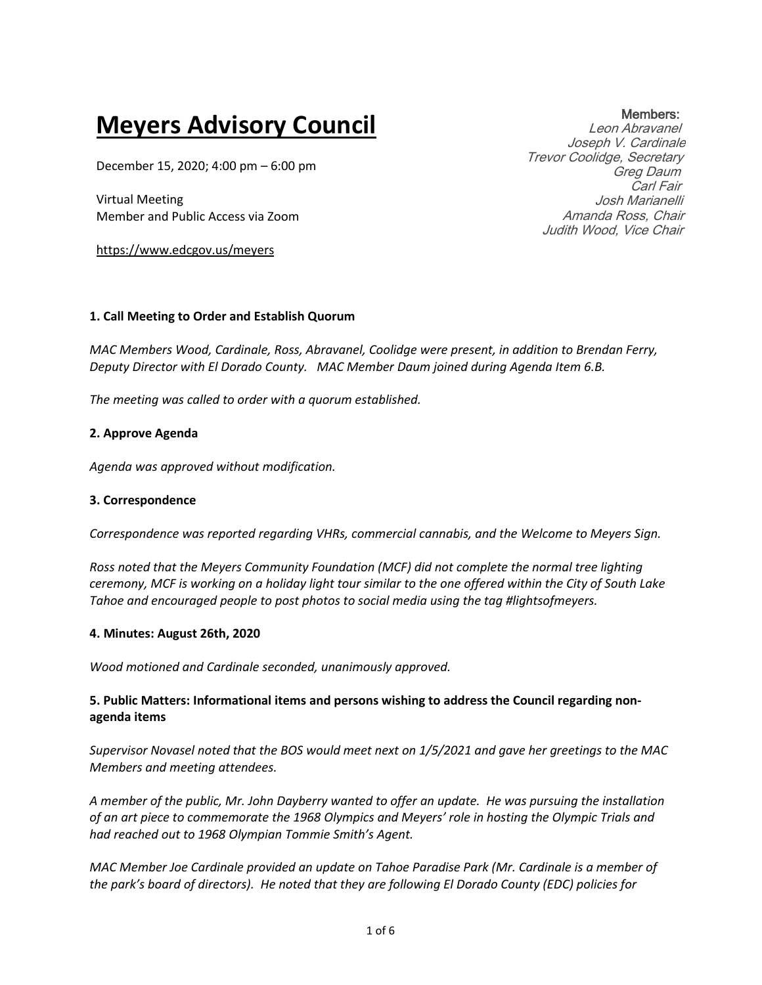# **Meyers Advisory Council**

December 15, 2020; 4:00 pm – 6:00 pm

Virtual Meeting Member and Public Access via Zoom

https://www.edcgov.us/meyers

#### **1. Call Meeting to Order and Establish Quorum**

*MAC Members Wood, Cardinale, Ross, Abravanel, Coolidge were present, in addition to Brendan Ferry, Deputy Director with El Dorado County. MAC Member Daum joined during Agenda Item 6.B.*

*The meeting was called to order with a quorum established.*

### **2. Approve Agenda**

*Agenda was approved without modification.*

#### **3. Correspondence**

*Correspondence was reported regarding VHRs, commercial cannabis, and the Welcome to Meyers Sign.*

*Ross noted that the Meyers Community Foundation (MCF) did not complete the normal tree lighting ceremony, MCF is working on a holiday light tour similar to the one offered within the City of South Lake Tahoe and encouraged people to post photos to social media using the tag #lightsofmeyers.*

#### **4. Minutes: August 26th, 2020**

*Wood motioned and Cardinale seconded, unanimously approved.*

## **5. Public Matters: Informational items and persons wishing to address the Council regarding nonagenda items**

*Supervisor Novasel noted that the BOS would meet next on 1/5/2021 and gave her greetings to the MAC Members and meeting attendees.*

*A member of the public, Mr. John Dayberry wanted to offer an update. He was pursuing the installation of an art piece to commemorate the 1968 Olympics and Meyers' role in hosting the Olympic Trials and had reached out to 1968 Olympian Tommie Smith's Agent.*

*MAC Member Joe Cardinale provided an update on Tahoe Paradise Park (Mr. Cardinale is a member of the park's board of directors). He noted that they are following El Dorado County (EDC) policies for* 

#### 1 of 6

### Members:

Leon Abravanel Joseph V. Cardinale Trevor Coolidge, Secretary Greg Daum Carl Fair Josh Marianelli Amanda Ross, Chair Judith Wood, Vice Chair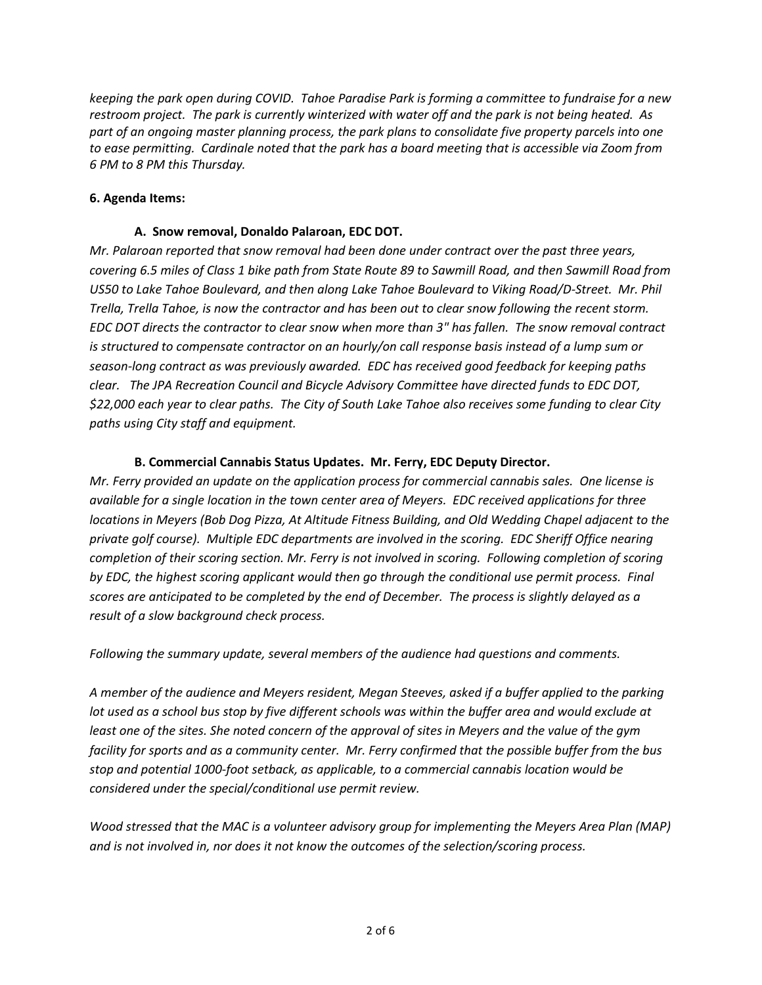*keeping the park open during COVID. Tahoe Paradise Park is forming a committee to fundraise for a new restroom project. The park is currently winterized with water off and the park is not being heated. As part of an ongoing master planning process, the park plans to consolidate five property parcels into one to ease permitting. Cardinale noted that the park has a board meeting that is accessible via Zoom from 6 PM to 8 PM this Thursday.*

### **6. Agenda Items:**

#### **A. Snow removal, Donaldo Palaroan, EDC DOT.**

*Mr. Palaroan reported that snow removal had been done under contract over the past three years, covering 6.5 miles of Class 1 bike path from State Route 89 to Sawmill Road, and then Sawmill Road from US50 to Lake Tahoe Boulevard, and then along Lake Tahoe Boulevard to Viking Road/D-Street. Mr. Phil Trella, Trella Tahoe, is now the contractor and has been out to clear snow following the recent storm. EDC DOT directs the contractor to clear snow when more than 3" has fallen. The snow removal contract is structured to compensate contractor on an hourly/on call response basis instead of a lump sum or season-long contract as was previously awarded. EDC has received good feedback for keeping paths clear. The JPA Recreation Council and Bicycle Advisory Committee have directed funds to EDC DOT, \$22,000 each year to clear paths. The City of South Lake Tahoe also receives some funding to clear City paths using City staff and equipment.* 

## **B. Commercial Cannabis Status Updates. Mr. Ferry, EDC Deputy Director.**

*Mr. Ferry provided an update on the application process for commercial cannabis sales. One license is available for a single location in the town center area of Meyers. EDC received applications for three locations in Meyers (Bob Dog Pizza, At Altitude Fitness Building, and Old Wedding Chapel adjacent to the private golf course). Multiple EDC departments are involved in the scoring. EDC Sheriff Office nearing completion of their scoring section. Mr. Ferry is not involved in scoring. Following completion of scoring by EDC, the highest scoring applicant would then go through the conditional use permit process. Final scores are anticipated to be completed by the end of December. The process is slightly delayed as a result of a slow background check process.*

*Following the summary update, several members of the audience had questions and comments.*

*A member of the audience and Meyers resident, Megan Steeves, asked if a buffer applied to the parking lot used as a school bus stop by five different schools was within the buffer area and would exclude at least one of the sites. She noted concern of the approval of sites in Meyers and the value of the gym facility for sports and as a community center. Mr. Ferry confirmed that the possible buffer from the bus stop and potential 1000-foot setback, as applicable, to a commercial cannabis location would be considered under the special/conditional use permit review.*

*Wood stressed that the MAC is a volunteer advisory group for implementing the Meyers Area Plan (MAP) and is not involved in, nor does it not know the outcomes of the selection/scoring process.*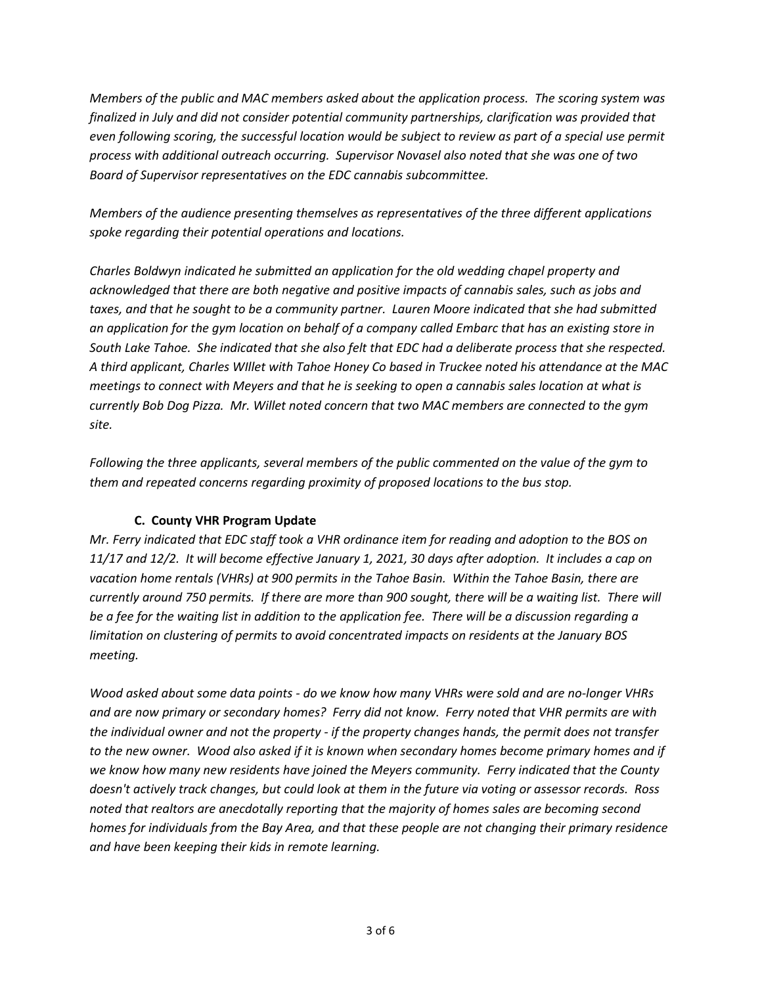*Members of the public and MAC members asked about the application process. The scoring system was finalized in July and did not consider potential community partnerships, clarification was provided that even following scoring, the successful location would be subject to review as part of a special use permit process with additional outreach occurring. Supervisor Novasel also noted that she was one of two Board of Supervisor representatives on the EDC cannabis subcommittee.* 

*Members of the audience presenting themselves as representatives of the three different applications spoke regarding their potential operations and locations.* 

*Charles Boldwyn indicated he submitted an application for the old wedding chapel property and acknowledged that there are both negative and positive impacts of cannabis sales, such as jobs and taxes, and that he sought to be a community partner. Lauren Moore indicated that she had submitted an application for the gym location on behalf of a company called Embarc that has an existing store in South Lake Tahoe. She indicated that she also felt that EDC had a deliberate process that she respected. A third applicant, Charles WIllet with Tahoe Honey Co based in Truckee noted his attendance at the MAC meetings to connect with Meyers and that he is seeking to open a cannabis sales location at what is currently Bob Dog Pizza. Mr. Willet noted concern that two MAC members are connected to the gym site.*

*Following the three applicants, several members of the public commented on the value of the gym to them and repeated concerns regarding proximity of proposed locations to the bus stop.*

## **C. County VHR Program Update**

*Mr. Ferry indicated that EDC staff took a VHR ordinance item for reading and adoption to the BOS on 11/17 and 12/2. It will become effective January 1, 2021, 30 days after adoption. It includes a cap on vacation home rentals (VHRs) at 900 permits in the Tahoe Basin. Within the Tahoe Basin, there are currently around 750 permits. If there are more than 900 sought, there will be a waiting list. There will be a fee for the waiting list in addition to the application fee. There will be a discussion regarding a limitation on clustering of permits to avoid concentrated impacts on residents at the January BOS meeting.* 

*Wood asked about some data points - do we know how many VHRs were sold and are no-longer VHRs and are now primary or secondary homes? Ferry did not know. Ferry noted that VHR permits are with the individual owner and not the property - if the property changes hands, the permit does not transfer to the new owner. Wood also asked if it is known when secondary homes become primary homes and if we know how many new residents have joined the Meyers community. Ferry indicated that the County doesn't actively track changes, but could look at them in the future via voting or assessor records. Ross noted that realtors are anecdotally reporting that the majority of homes sales are becoming second homes for individuals from the Bay Area, and that these people are not changing their primary residence and have been keeping their kids in remote learning.*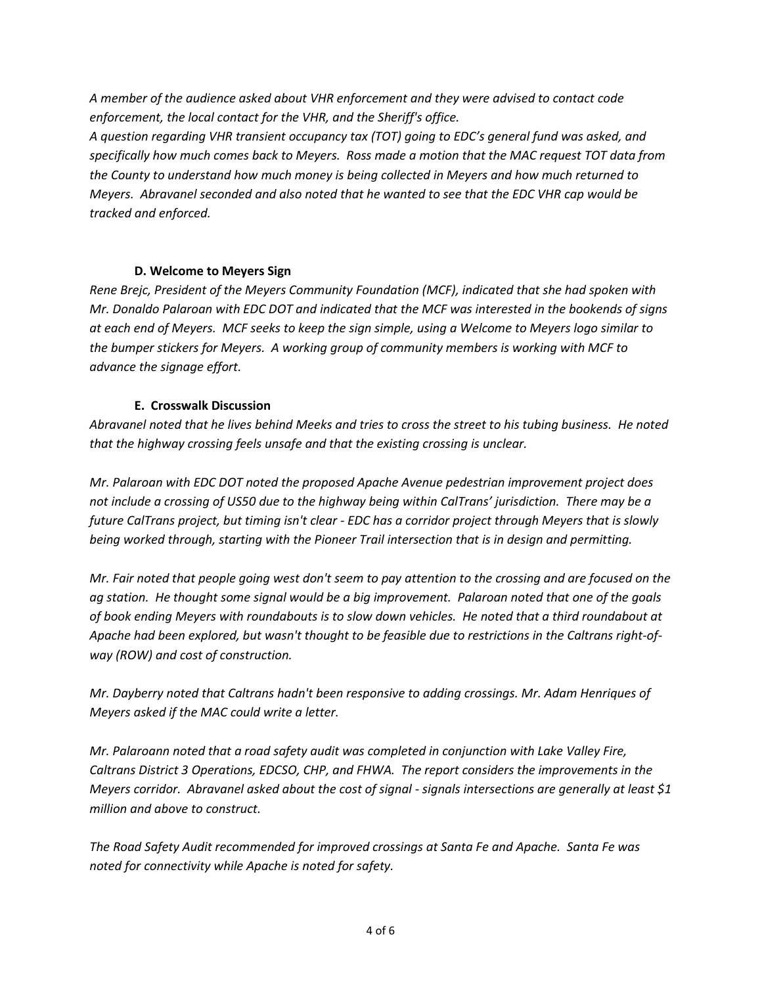*A member of the audience asked about VHR enforcement and they were advised to contact code enforcement, the local contact for the VHR, and the Sheriff's office.* 

*A question regarding VHR transient occupancy tax (TOT) going to EDC's general fund was asked, and specifically how much comes back to Meyers. Ross made a motion that the MAC request TOT data from the County to understand how much money is being collected in Meyers and how much returned to Meyers. Abravanel seconded and also noted that he wanted to see that the EDC VHR cap would be tracked and enforced.*

## **D. Welcome to Meyers Sign**

*Rene Brejc, President of the Meyers Community Foundation (MCF), indicated that she had spoken with Mr. Donaldo Palaroan with EDC DOT and indicated that the MCF was interested in the bookends of signs at each end of Meyers. MCF seeks to keep the sign simple, using a Welcome to Meyers logo similar to the bumper stickers for Meyers. A working group of community members is working with MCF to advance the signage effort.*

### **E. Crosswalk Discussion**

*Abravanel noted that he lives behind Meeks and tries to cross the street to his tubing business. He noted that the highway crossing feels unsafe and that the existing crossing is unclear.*

*Mr. Palaroan with EDC DOT noted the proposed Apache Avenue pedestrian improvement project does not include a crossing of US50 due to the highway being within CalTrans' jurisdiction. There may be a future CalTrans project, but timing isn't clear - EDC has a corridor project through Meyers that is slowly being worked through, starting with the Pioneer Trail intersection that is in design and permitting.*

*Mr. Fair noted that people going west don't seem to pay attention to the crossing and are focused on the ag station. He thought some signal would be a big improvement. Palaroan noted that one of the goals of book ending Meyers with roundabouts is to slow down vehicles. He noted that a third roundabout at Apache had been explored, but wasn't thought to be feasible due to restrictions in the Caltrans right-ofway (ROW) and cost of construction.*

*Mr. Dayberry noted that Caltrans hadn't been responsive to adding crossings. Mr. Adam Henriques of Meyers asked if the MAC could write a letter.* 

*Mr. Palaroann noted that a road safety audit was completed in conjunction with Lake Valley Fire, Caltrans District 3 Operations, EDCSO, CHP, and FHWA. The report considers the improvements in the Meyers corridor. Abravanel asked about the cost of signal - signals intersections are generally at least \$1 million and above to construct.*

*The Road Safety Audit recommended for improved crossings at Santa Fe and Apache. Santa Fe was noted for connectivity while Apache is noted for safety.*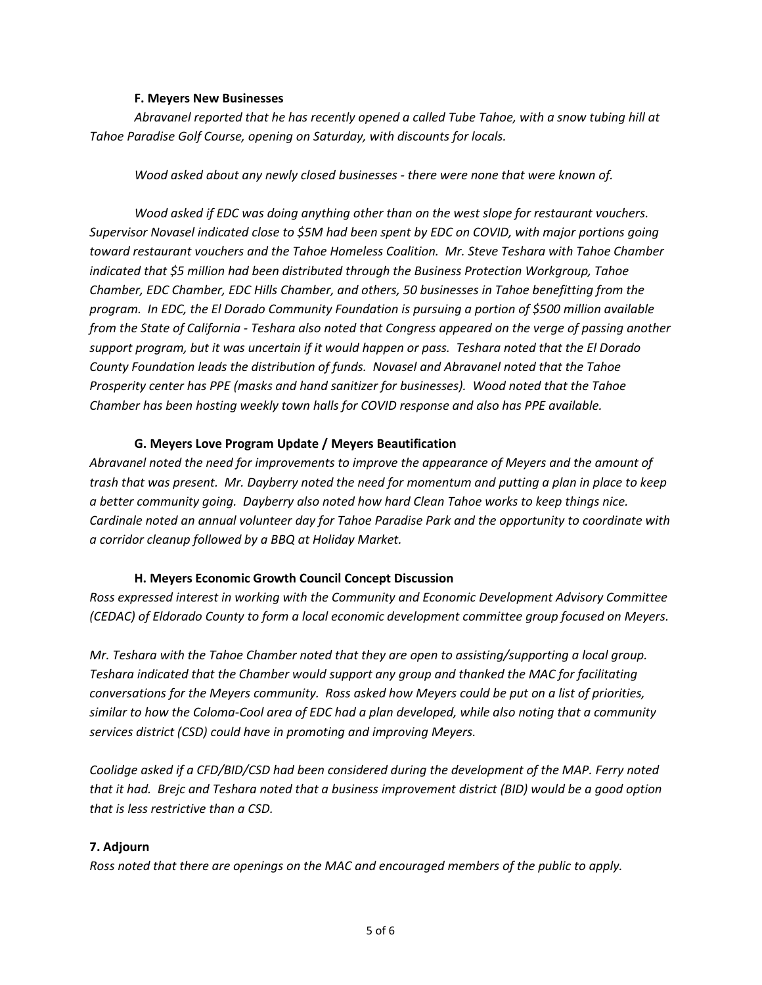#### **F. Meyers New Businesses**

*Abravanel reported that he has recently opened a called Tube Tahoe, with a snow tubing hill at Tahoe Paradise Golf Course, opening on Saturday, with discounts for locals.*

*Wood asked about any newly closed businesses - there were none that were known of.*

*Wood asked if EDC was doing anything other than on the west slope for restaurant vouchers. Supervisor Novasel indicated close to \$5M had been spent by EDC on COVID, with major portions going toward restaurant vouchers and the Tahoe Homeless Coalition. Mr. Steve Teshara with Tahoe Chamber indicated that \$5 million had been distributed through the Business Protection Workgroup, Tahoe Chamber, EDC Chamber, EDC Hills Chamber, and others, 50 businesses in Tahoe benefitting from the program. In EDC, the El Dorado Community Foundation is pursuing a portion of \$500 million available from the State of California - Teshara also noted that Congress appeared on the verge of passing another support program, but it was uncertain if it would happen or pass. Teshara noted that the El Dorado County Foundation leads the distribution of funds. Novasel and Abravanel noted that the Tahoe Prosperity center has PPE (masks and hand sanitizer for businesses). Wood noted that the Tahoe Chamber has been hosting weekly town halls for COVID response and also has PPE available.*

#### **G. Meyers Love Program Update / Meyers Beautification**

*Abravanel noted the need for improvements to improve the appearance of Meyers and the amount of trash that was present. Mr. Dayberry noted the need for momentum and putting a plan in place to keep a better community going. Dayberry also noted how hard Clean Tahoe works to keep things nice. Cardinale noted an annual volunteer day for Tahoe Paradise Park and the opportunity to coordinate with a corridor cleanup followed by a BBQ at Holiday Market.*

#### **H. Meyers Economic Growth Council Concept Discussion**

*Ross expressed interest in working with the Community and Economic Development Advisory Committee (CEDAC) of Eldorado County to form a local economic development committee group focused on Meyers.* 

*Mr. Teshara with the Tahoe Chamber noted that they are open to assisting/supporting a local group. Teshara indicated that the Chamber would support any group and thanked the MAC for facilitating conversations for the Meyers community. Ross asked how Meyers could be put on a list of priorities, similar to how the Coloma-Cool area of EDC had a plan developed, while also noting that a community services district (CSD) could have in promoting and improving Meyers.* 

*Coolidge asked if a CFD/BID/CSD had been considered during the development of the MAP. Ferry noted that it had. Brejc and Teshara noted that a business improvement district (BID) would be a good option that is less restrictive than a CSD.*

#### **7. Adjourn**

*Ross noted that there are openings on the MAC and encouraged members of the public to apply.*